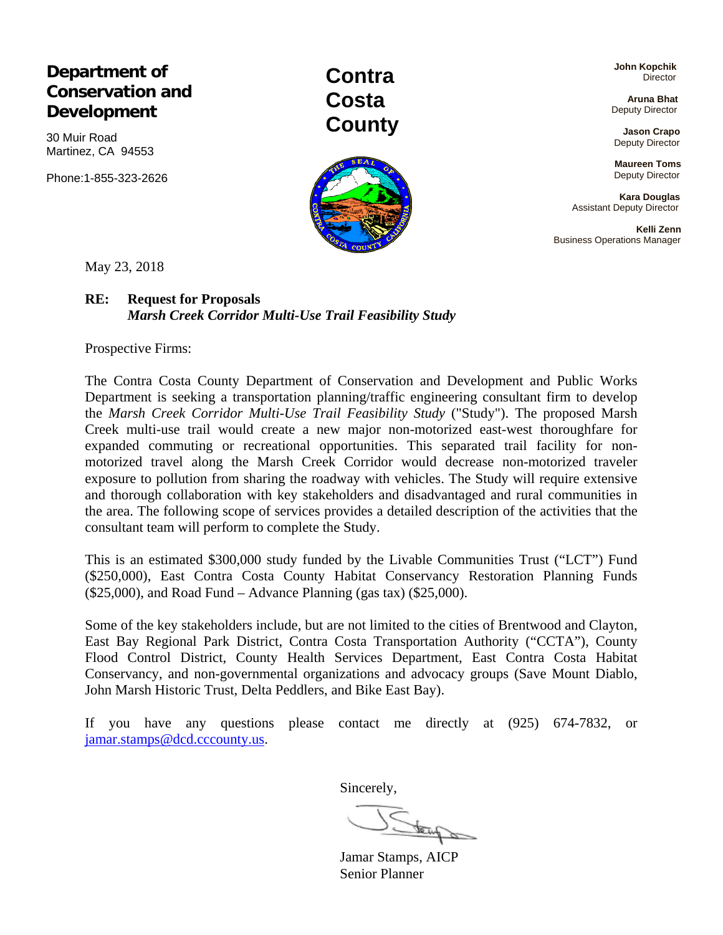**Department of Conservation and Development** 

30 Muir Road Martinez, CA 94553

Phone:1-855-323-2626

**Contra Costa County** 

 **John Kopchik Director** 

 **Aruna Bhat**  Deputy Director

 **Jason Crapo**  Deputy Director

**Maureen Toms**  Deputy Director

 **Kara Douglas**  Assistant Deputy Director

 **Kelli Zenn**  Business Operations Manager

May 23, 2018

### **RE: Request for Proposals**  *Marsh Creek Corridor Multi-Use Trail Feasibility Study*

Prospective Firms:

The Contra Costa County Department of Conservation and Development and Public Works Department is seeking a transportation planning/traffic engineering consultant firm to develop the *Marsh Creek Corridor Multi-Use Trail Feasibility Study* ("Study"). The proposed Marsh Creek multi-use trail would create a new major non-motorized east-west thoroughfare for expanded commuting or recreational opportunities. This separated trail facility for nonmotorized travel along the Marsh Creek Corridor would decrease non-motorized traveler exposure to pollution from sharing the roadway with vehicles. The Study will require extensive and thorough collaboration with key stakeholders and disadvantaged and rural communities in the area. The following scope of services provides a detailed description of the activities that the consultant team will perform to complete the Study.

This is an estimated \$300,000 study funded by the Livable Communities Trust ("LCT") Fund (\$250,000), East Contra Costa County Habitat Conservancy Restoration Planning Funds  $(25,000)$ , and Road Fund – Advance Planning (gas tax)  $(25,000)$ .

Some of the key stakeholders include, but are not limited to the cities of Brentwood and Clayton, East Bay Regional Park District, Contra Costa Transportation Authority ("CCTA"), County Flood Control District, County Health Services Department, East Contra Costa Habitat Conservancy, and non-governmental organizations and advocacy groups (Save Mount Diablo, John Marsh Historic Trust, Delta Peddlers, and Bike East Bay).

If you have any questions please contact me directly at (925) 674-7832, or jamar.stamps@dcd.cccounty.us.

Sincerely,

Jamar Stamps, AICP

Senior Planner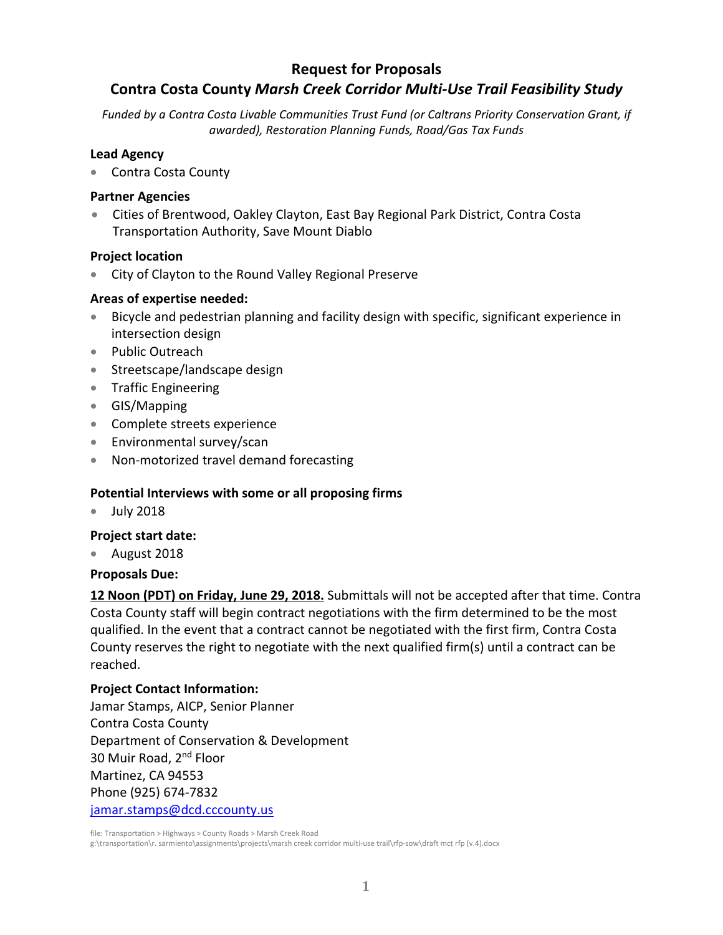# **Request for Proposals**

# **Contra Costa County** *Marsh Creek Corridor Multi‐Use Trail Feasibility Study*

*Funded by a Contra Costa Livable Communities Trust Fund (or Caltrans Priority Conservation Grant, if awarded), Restoration Planning Funds, Road/Gas Tax Funds*

#### **Lead Agency**

Contra Costa County

#### **Partner Agencies**

 Cities of Brentwood, Oakley Clayton, East Bay Regional Park District, Contra Costa Transportation Authority, Save Mount Diablo

#### **Project location**

City of Clayton to the Round Valley Regional Preserve

#### **Areas of expertise needed:**

- Bicycle and pedestrian planning and facility design with specific, significant experience in intersection design
- Public Outreach
- Streetscape/landscape design
- Traffic Engineering
- GIS/Mapping
- Complete streets experience
- Environmental survey/scan
- Non-motorized travel demand forecasting

### **Potential Interviews with some or all proposing firms**

July 2018

#### **Project start date:**

August 2018

#### **Proposals Due:**

**12 Noon (PDT) on Friday, June 29, 2018.** Submittals will not be accepted after that time. Contra Costa County staff will begin contract negotiations with the firm determined to be the most qualified. In the event that a contract cannot be negotiated with the first firm, Contra Costa County reserves the right to negotiate with the next qualified firm(s) until a contract can be reached.

#### **Project Contact Information:**

Jamar Stamps, AICP, Senior Planner Contra Costa County Department of Conservation & Development 30 Muir Road, 2nd Floor Martinez, CA 94553 Phone (925) 674‐7832 jamar.stamps@dcd.cccounty.us

file: Transportation > Highways > County Roads > Marsh Creek Road

g:\transportation\r. sarmiento\assignments\projects\marsh creek corridor multi‐use trail\rfp‐sow\draft mct rfp (v.4).docx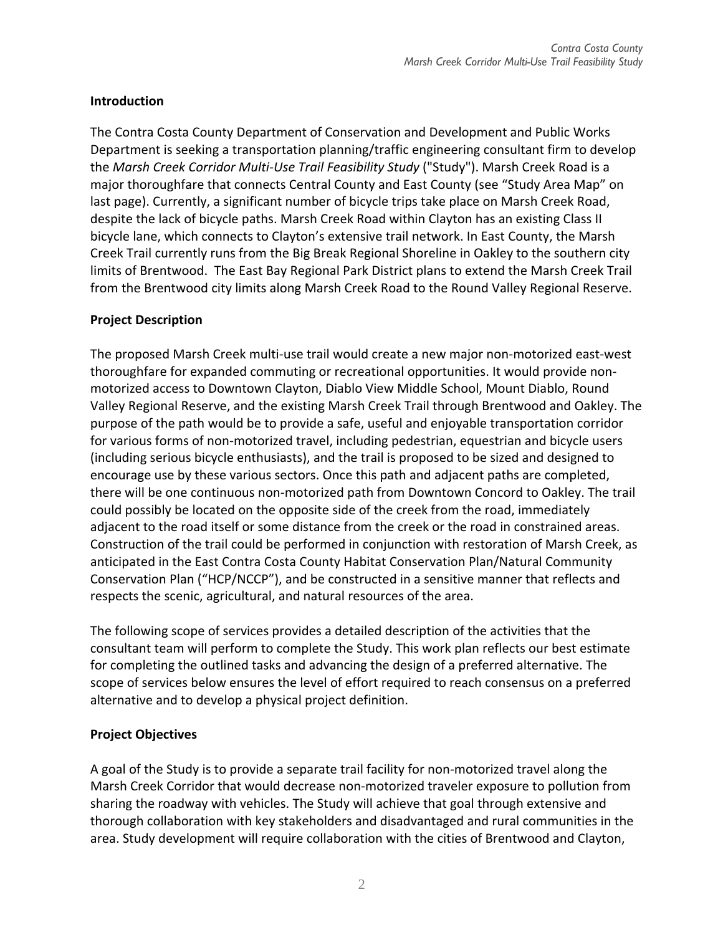# **Introduction**

The Contra Costa County Department of Conservation and Development and Public Works Department is seeking a transportation planning/traffic engineering consultant firm to develop the *Marsh Creek Corridor Multi‐Use Trail Feasibility Study* ("Study"). Marsh Creek Road is a major thoroughfare that connects Central County and East County (see "Study Area Map" on last page). Currently, a significant number of bicycle trips take place on Marsh Creek Road, despite the lack of bicycle paths. Marsh Creek Road within Clayton has an existing Class II bicycle lane, which connects to Clayton's extensive trail network. In East County, the Marsh Creek Trail currently runs from the Big Break Regional Shoreline in Oakley to the southern city limits of Brentwood. The East Bay Regional Park District plans to extend the Marsh Creek Trail from the Brentwood city limits along Marsh Creek Road to the Round Valley Regional Reserve.

# **Project Description**

The proposed Marsh Creek multi‐use trail would create a new major non‐motorized east‐west thoroughfare for expanded commuting or recreational opportunities. It would provide non‐ motorized access to Downtown Clayton, Diablo View Middle School, Mount Diablo, Round Valley Regional Reserve, and the existing Marsh Creek Trail through Brentwood and Oakley. The purpose of the path would be to provide a safe, useful and enjoyable transportation corridor for various forms of non-motorized travel, including pedestrian, equestrian and bicycle users (including serious bicycle enthusiasts), and the trail is proposed to be sized and designed to encourage use by these various sectors. Once this path and adjacent paths are completed, there will be one continuous non‐motorized path from Downtown Concord to Oakley. The trail could possibly be located on the opposite side of the creek from the road, immediately adjacent to the road itself or some distance from the creek or the road in constrained areas. Construction of the trail could be performed in conjunction with restoration of Marsh Creek, as anticipated in the East Contra Costa County Habitat Conservation Plan/Natural Community Conservation Plan ("HCP/NCCP"), and be constructed in a sensitive manner that reflects and respects the scenic, agricultural, and natural resources of the area.

The following scope of services provides a detailed description of the activities that the consultant team will perform to complete the Study. This work plan reflects our best estimate for completing the outlined tasks and advancing the design of a preferred alternative. The scope of services below ensures the level of effort required to reach consensus on a preferred alternative and to develop a physical project definition.

# **Project Objectives**

A goal of the Study is to provide a separate trail facility for non‐motorized travel along the Marsh Creek Corridor that would decrease non‐motorized traveler exposure to pollution from sharing the roadway with vehicles. The Study will achieve that goal through extensive and thorough collaboration with key stakeholders and disadvantaged and rural communities in the area. Study development will require collaboration with the cities of Brentwood and Clayton,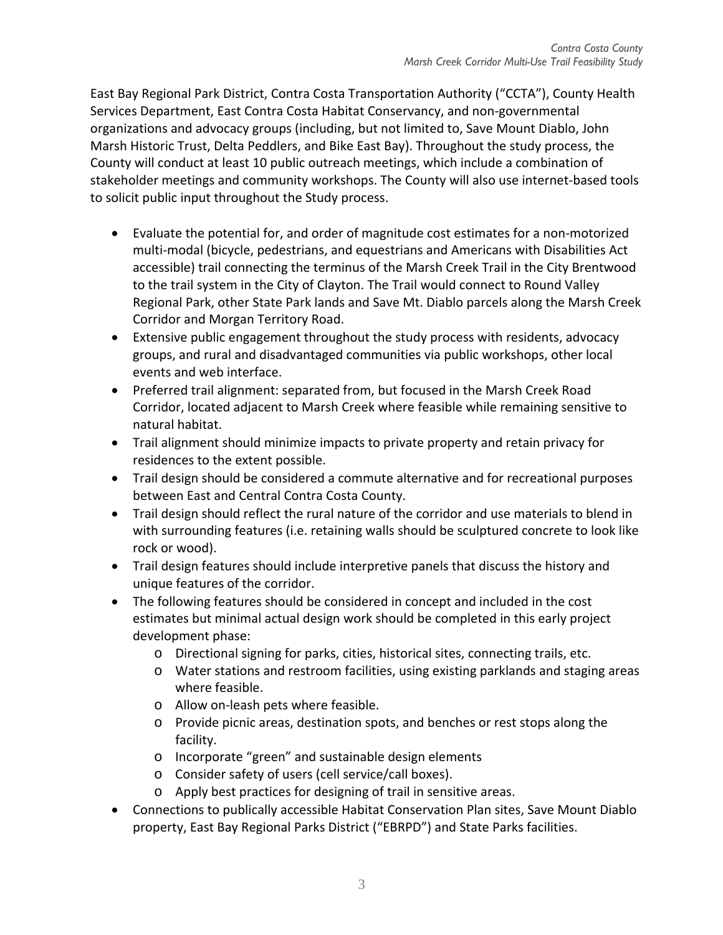East Bay Regional Park District, Contra Costa Transportation Authority ("CCTA"), County Health Services Department, East Contra Costa Habitat Conservancy, and non‐governmental organizations and advocacy groups (including, but not limited to, Save Mount Diablo, John Marsh Historic Trust, Delta Peddlers, and Bike East Bay). Throughout the study process, the County will conduct at least 10 public outreach meetings, which include a combination of stakeholder meetings and community workshops. The County will also use internet-based tools to solicit public input throughout the Study process.

- Evaluate the potential for, and order of magnitude cost estimates for a non‐motorized multi‐modal (bicycle, pedestrians, and equestrians and Americans with Disabilities Act accessible) trail connecting the terminus of the Marsh Creek Trail in the City Brentwood to the trail system in the City of Clayton. The Trail would connect to Round Valley Regional Park, other State Park lands and Save Mt. Diablo parcels along the Marsh Creek Corridor and Morgan Territory Road.
- Extensive public engagement throughout the study process with residents, advocacy groups, and rural and disadvantaged communities via public workshops, other local events and web interface.
- Preferred trail alignment: separated from, but focused in the Marsh Creek Road Corridor, located adjacent to Marsh Creek where feasible while remaining sensitive to natural habitat.
- Trail alignment should minimize impacts to private property and retain privacy for residences to the extent possible.
- Trail design should be considered a commute alternative and for recreational purposes between East and Central Contra Costa County.
- Trail design should reflect the rural nature of the corridor and use materials to blend in with surrounding features (i.e. retaining walls should be sculptured concrete to look like rock or wood).
- Trail design features should include interpretive panels that discuss the history and unique features of the corridor.
- The following features should be considered in concept and included in the cost estimates but minimal actual design work should be completed in this early project development phase:
	- o Directional signing for parks, cities, historical sites, connecting trails, etc.
	- o Water stations and restroom facilities, using existing parklands and staging areas where feasible.
	- o Allow on‐leash pets where feasible.
	- o Provide picnic areas, destination spots, and benches or rest stops along the facility.
	- o Incorporate "green" and sustainable design elements
	- o Consider safety of users (cell service/call boxes).
	- o Apply best practices for designing of trail in sensitive areas.
- Connections to publically accessible Habitat Conservation Plan sites, Save Mount Diablo property, East Bay Regional Parks District ("EBRPD") and State Parks facilities.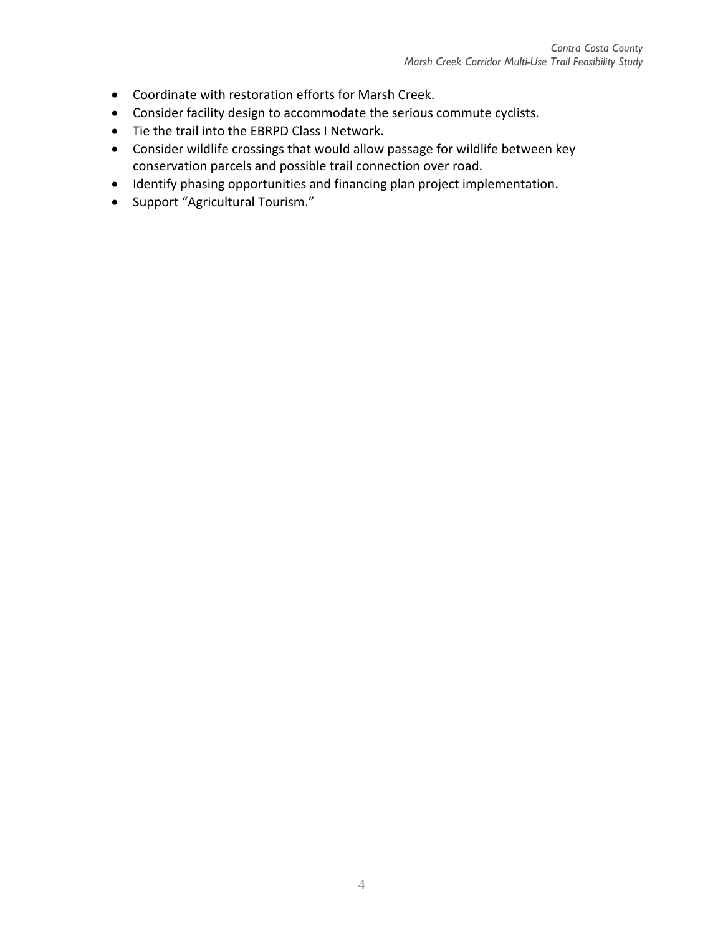- Coordinate with restoration efforts for Marsh Creek.
- Consider facility design to accommodate the serious commute cyclists.
- Tie the trail into the EBRPD Class I Network.
- Consider wildlife crossings that would allow passage for wildlife between key conservation parcels and possible trail connection over road.
- Identify phasing opportunities and financing plan project implementation.
- Support "Agricultural Tourism."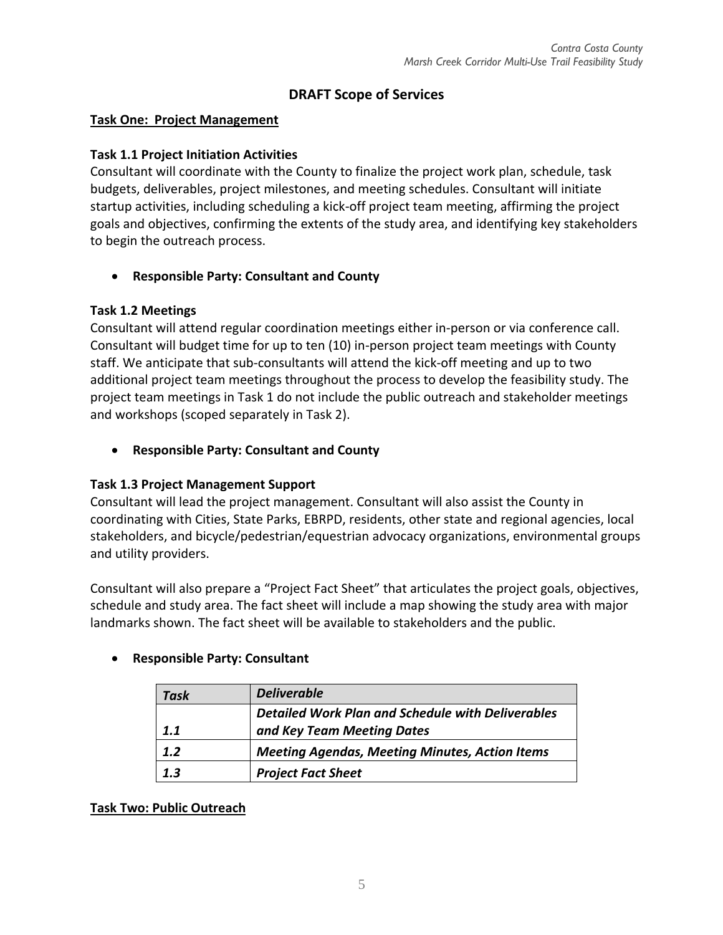# **DRAFT Scope of Services**

### **Task One: Project Management**

### **Task 1.1 Project Initiation Activities**

Consultant will coordinate with the County to finalize the project work plan, schedule, task budgets, deliverables, project milestones, and meeting schedules. Consultant will initiate startup activities, including scheduling a kick‐off project team meeting, affirming the project goals and objectives, confirming the extents of the study area, and identifying key stakeholders to begin the outreach process.

# **Responsible Party: Consultant and County**

### **Task 1.2 Meetings**

Consultant will attend regular coordination meetings either in‐person or via conference call. Consultant will budget time for up to ten (10) in‐person project team meetings with County staff. We anticipate that sub‐consultants will attend the kick‐off meeting and up to two additional project team meetings throughout the process to develop the feasibility study. The project team meetings in Task 1 do not include the public outreach and stakeholder meetings and workshops (scoped separately in Task 2).

**Responsible Party: Consultant and County**

# **Task 1.3 Project Management Support**

Consultant will lead the project management. Consultant will also assist the County in coordinating with Cities, State Parks, EBRPD, residents, other state and regional agencies, local stakeholders, and bicycle/pedestrian/equestrian advocacy organizations, environmental groups and utility providers.

Consultant will also prepare a "Project Fact Sheet" that articulates the project goals, objectives, schedule and study area. The fact sheet will include a map showing the study area with major landmarks shown. The fact sheet will be available to stakeholders and the public.

| Task | <b>Deliverable</b>                                       |
|------|----------------------------------------------------------|
|      | <b>Detailed Work Plan and Schedule with Deliverables</b> |
| 1.1  | and Key Team Meeting Dates                               |
| 1.2  | <b>Meeting Agendas, Meeting Minutes, Action Items</b>    |
| 1.3  | <b>Project Fact Sheet</b>                                |

# **Responsible Party: Consultant**

# **Task Two: Public Outreach**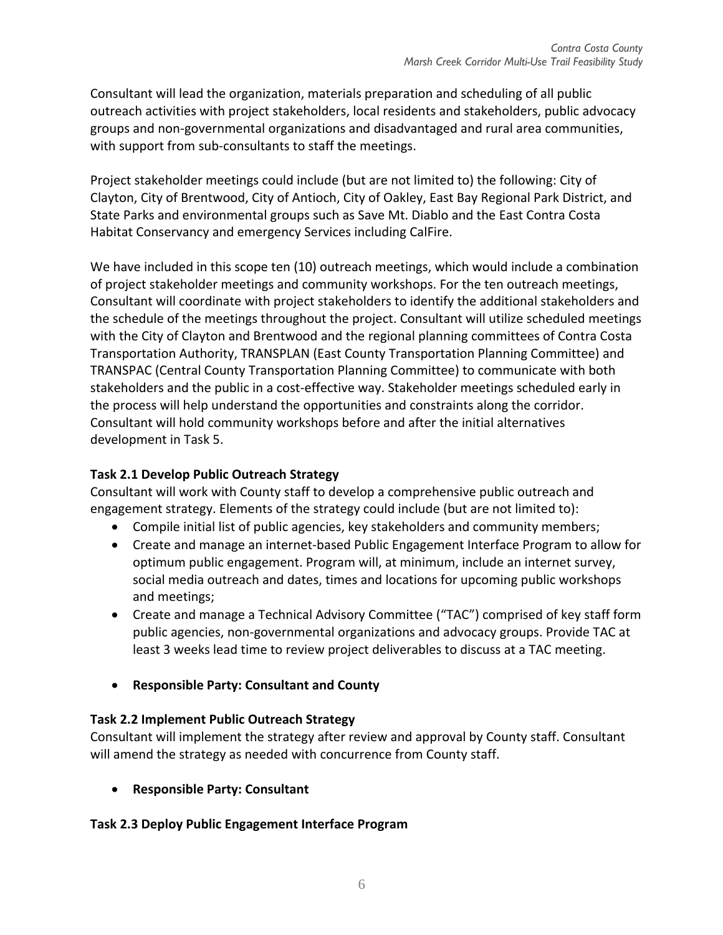Consultant will lead the organization, materials preparation and scheduling of all public outreach activities with project stakeholders, local residents and stakeholders, public advocacy groups and non‐governmental organizations and disadvantaged and rural area communities, with support from sub-consultants to staff the meetings.

Project stakeholder meetings could include (but are not limited to) the following: City of Clayton, City of Brentwood, City of Antioch, City of Oakley, East Bay Regional Park District, and State Parks and environmental groups such as Save Mt. Diablo and the East Contra Costa Habitat Conservancy and emergency Services including CalFire.

We have included in this scope ten (10) outreach meetings, which would include a combination of project stakeholder meetings and community workshops. For the ten outreach meetings, Consultant will coordinate with project stakeholders to identify the additional stakeholders and the schedule of the meetings throughout the project. Consultant will utilize scheduled meetings with the City of Clayton and Brentwood and the regional planning committees of Contra Costa Transportation Authority, TRANSPLAN (East County Transportation Planning Committee) and TRANSPAC (Central County Transportation Planning Committee) to communicate with both stakeholders and the public in a cost‐effective way. Stakeholder meetings scheduled early in the process will help understand the opportunities and constraints along the corridor. Consultant will hold community workshops before and after the initial alternatives development in Task 5.

# **Task 2.1 Develop Public Outreach Strategy**

Consultant will work with County staff to develop a comprehensive public outreach and engagement strategy. Elements of the strategy could include (but are not limited to):

- Compile initial list of public agencies, key stakeholders and community members;
- Create and manage an internet-based Public Engagement Interface Program to allow for optimum public engagement. Program will, at minimum, include an internet survey, social media outreach and dates, times and locations for upcoming public workshops and meetings;
- Create and manage a Technical Advisory Committee ("TAC") comprised of key staff form public agencies, non‐governmental organizations and advocacy groups. Provide TAC at least 3 weeks lead time to review project deliverables to discuss at a TAC meeting.
- **Responsible Party: Consultant and County**

# **Task 2.2 Implement Public Outreach Strategy**

Consultant will implement the strategy after review and approval by County staff. Consultant will amend the strategy as needed with concurrence from County staff.

**Responsible Party: Consultant** 

# **Task 2.3 Deploy Public Engagement Interface Program**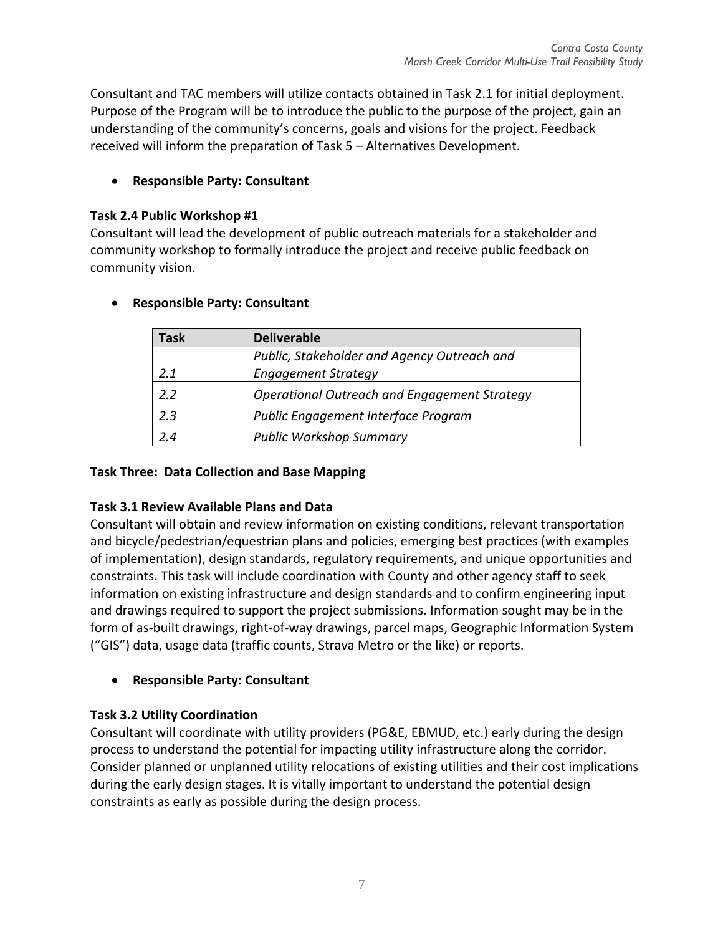Consultant and TAC members will utilize contacts obtained in Task 2.1 for initial deployment. Purpose of the Program will be to introduce the public to the purpose of the project, gain an understanding of the community's concerns, goals and visions for the project. Feedback received will inform the preparation of Task 5 – Alternatives Development.

# **Responsible Party: Consultant**

### **Task 2.4 Public Workshop #1**

Consultant will lead the development of public outreach materials for a stakeholder and community workshop to formally introduce the project and receive public feedback on community vision.

| Task | <b>Deliverable</b>                                  |
|------|-----------------------------------------------------|
|      | Public, Stakeholder and Agency Outreach and         |
| 2.1  | <b>Engagement Strategy</b>                          |
| 22   | <b>Operational Outreach and Engagement Strategy</b> |
| 2.3  | Public Engagement Interface Program                 |
| 24   | <b>Public Workshop Summary</b>                      |

# **Responsible Party: Consultant**

# **Task Three: Data Collection and Base Mapping**

# **Task 3.1 Review Available Plans and Data**

Consultant will obtain and review information on existing conditions, relevant transportation and bicycle/pedestrian/equestrian plans and policies, emerging best practices (with examples of implementation), design standards, regulatory requirements, and unique opportunities and constraints. This task will include coordination with County and other agency staff to seek information on existing infrastructure and design standards and to confirm engineering input and drawings required to support the project submissions. Information sought may be in the form of as‐built drawings, right‐of‐way drawings, parcel maps, Geographic Information System ("GIS") data, usage data (traffic counts, Strava Metro or the like) or reports.

# **Responsible Party: Consultant**

# **Task 3.2 Utility Coordination**

Consultant will coordinate with utility providers (PG&E, EBMUD, etc.) early during the design process to understand the potential for impacting utility infrastructure along the corridor. Consider planned or unplanned utility relocations of existing utilities and their cost implications during the early design stages. It is vitally important to understand the potential design constraints as early as possible during the design process.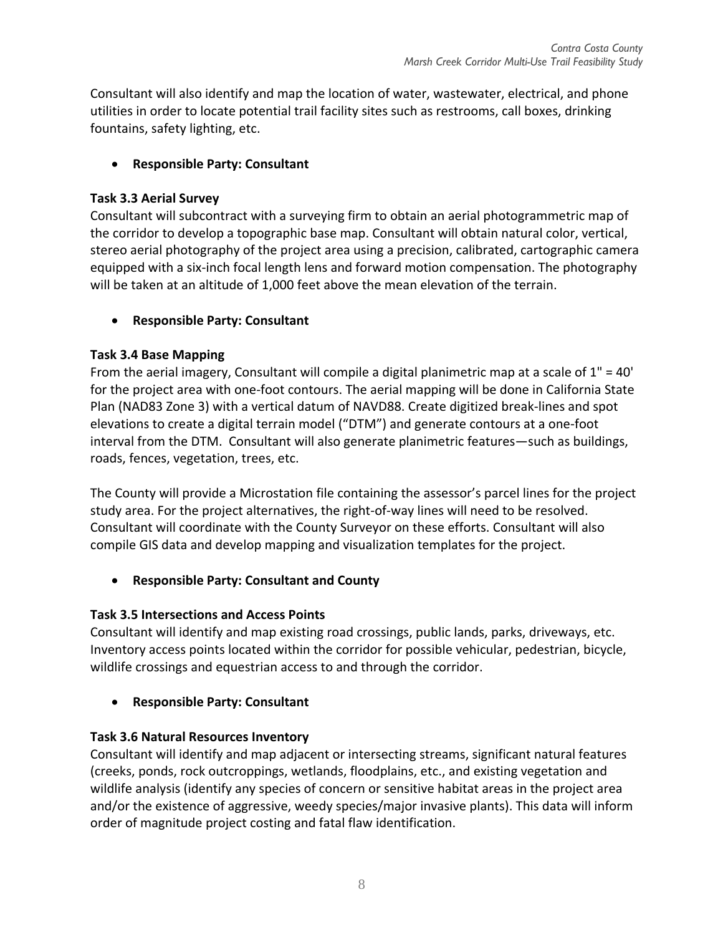Consultant will also identify and map the location of water, wastewater, electrical, and phone utilities in order to locate potential trail facility sites such as restrooms, call boxes, drinking fountains, safety lighting, etc.

# **Responsible Party: Consultant**

# **Task 3.3 Aerial Survey**

Consultant will subcontract with a surveying firm to obtain an aerial photogrammetric map of the corridor to develop a topographic base map. Consultant will obtain natural color, vertical, stereo aerial photography of the project area using a precision, calibrated, cartographic camera equipped with a six‐inch focal length lens and forward motion compensation. The photography will be taken at an altitude of 1,000 feet above the mean elevation of the terrain.

# **Responsible Party: Consultant**

# **Task 3.4 Base Mapping**

From the aerial imagery, Consultant will compile a digital planimetric map at a scale of  $1" = 40'$ for the project area with one-foot contours. The aerial mapping will be done in California State Plan (NAD83 Zone 3) with a vertical datum of NAVD88. Create digitized break‐lines and spot elevations to create a digital terrain model ("DTM") and generate contours at a one‐foot interval from the DTM. Consultant will also generate planimetric features—such as buildings, roads, fences, vegetation, trees, etc.

The County will provide a Microstation file containing the assessor's parcel lines for the project study area. For the project alternatives, the right‐of‐way lines will need to be resolved. Consultant will coordinate with the County Surveyor on these efforts. Consultant will also compile GIS data and develop mapping and visualization templates for the project.

**Responsible Party: Consultant and County**

# **Task 3.5 Intersections and Access Points**

Consultant will identify and map existing road crossings, public lands, parks, driveways, etc. Inventory access points located within the corridor for possible vehicular, pedestrian, bicycle, wildlife crossings and equestrian access to and through the corridor.

**Responsible Party: Consultant** 

# **Task 3.6 Natural Resources Inventory**

Consultant will identify and map adjacent or intersecting streams, significant natural features (creeks, ponds, rock outcroppings, wetlands, floodplains, etc., and existing vegetation and wildlife analysis (identify any species of concern or sensitive habitat areas in the project area and/or the existence of aggressive, weedy species/major invasive plants). This data will inform order of magnitude project costing and fatal flaw identification.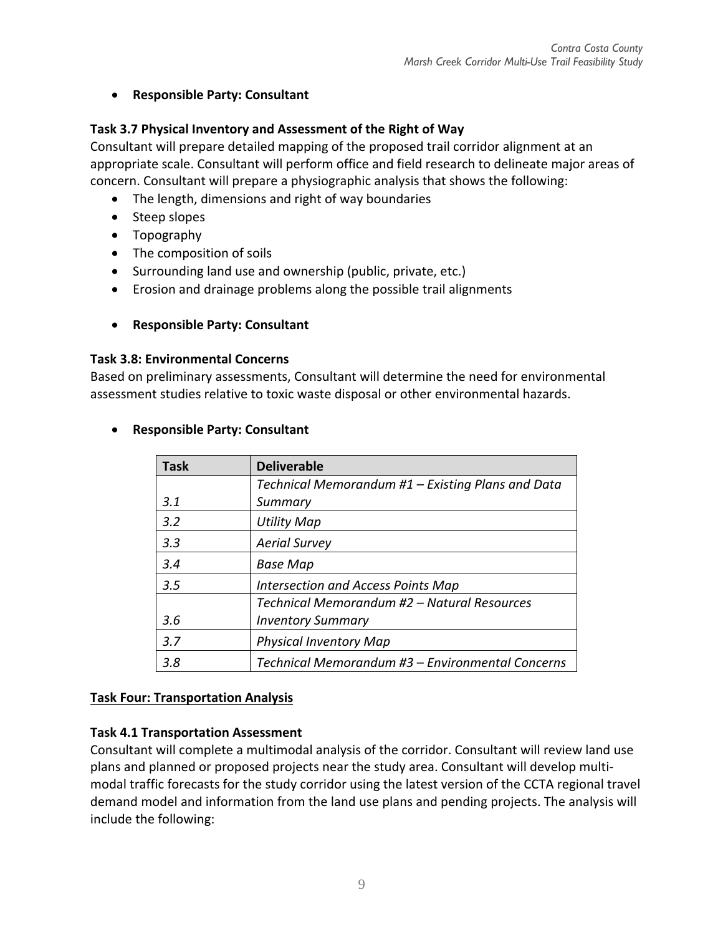# **Responsible Party: Consultant**

# **Task 3.7 Physical Inventory and Assessment of the Right of Way**

Consultant will prepare detailed mapping of the proposed trail corridor alignment at an appropriate scale. Consultant will perform office and field research to delineate major areas of concern. Consultant will prepare a physiographic analysis that shows the following:

- The length, dimensions and right of way boundaries
- Steep slopes
- Topography
- The composition of soils
- Surrounding land use and ownership (public, private, etc.)
- Erosion and drainage problems along the possible trail alignments
- **Responsible Party: Consultant**

### **Task 3.8: Environmental Concerns**

Based on preliminary assessments, Consultant will determine the need for environmental assessment studies relative to toxic waste disposal or other environmental hazards.

# **Responsible Party: Consultant**

| <b>Task</b> | <b>Deliverable</b>                                |
|-------------|---------------------------------------------------|
|             | Technical Memorandum #1 - Existing Plans and Data |
| 3.1         | Summary                                           |
| 3.2         | <b>Utility Map</b>                                |
| 3.3         | <b>Aerial Survey</b>                              |
| 3.4         | <b>Base Map</b>                                   |
| 3.5         | Intersection and Access Points Map                |
|             | Technical Memorandum #2 - Natural Resources       |
| 3.6         | <b>Inventory Summary</b>                          |
| 3.7         | <b>Physical Inventory Map</b>                     |
| 3.8         | Technical Memorandum #3 - Environmental Concerns  |

# **Task Four: Transportation Analysis**

# **Task 4.1 Transportation Assessment**

Consultant will complete a multimodal analysis of the corridor. Consultant will review land use plans and planned or proposed projects near the study area. Consultant will develop multi‐ modal traffic forecasts for the study corridor using the latest version of the CCTA regional travel demand model and information from the land use plans and pending projects. The analysis will include the following: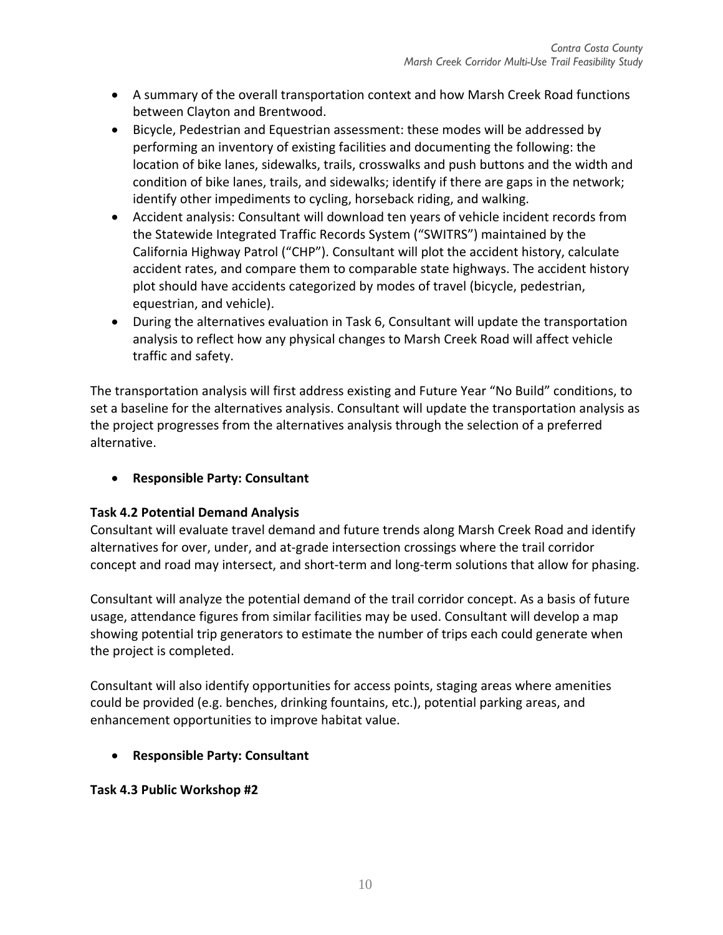- A summary of the overall transportation context and how Marsh Creek Road functions between Clayton and Brentwood.
- Bicycle, Pedestrian and Equestrian assessment: these modes will be addressed by performing an inventory of existing facilities and documenting the following: the location of bike lanes, sidewalks, trails, crosswalks and push buttons and the width and condition of bike lanes, trails, and sidewalks; identify if there are gaps in the network; identify other impediments to cycling, horseback riding, and walking.
- Accident analysis: Consultant will download ten years of vehicle incident records from the Statewide Integrated Traffic Records System ("SWITRS") maintained by the California Highway Patrol ("CHP"). Consultant will plot the accident history, calculate accident rates, and compare them to comparable state highways. The accident history plot should have accidents categorized by modes of travel (bicycle, pedestrian, equestrian, and vehicle).
- During the alternatives evaluation in Task 6, Consultant will update the transportation analysis to reflect how any physical changes to Marsh Creek Road will affect vehicle traffic and safety.

The transportation analysis will first address existing and Future Year "No Build" conditions, to set a baseline for the alternatives analysis. Consultant will update the transportation analysis as the project progresses from the alternatives analysis through the selection of a preferred alternative.

# **Responsible Party: Consultant**

# **Task 4.2 Potential Demand Analysis**

Consultant will evaluate travel demand and future trends along Marsh Creek Road and identify alternatives for over, under, and at‐grade intersection crossings where the trail corridor concept and road may intersect, and short‐term and long‐term solutions that allow for phasing.

Consultant will analyze the potential demand of the trail corridor concept. As a basis of future usage, attendance figures from similar facilities may be used. Consultant will develop a map showing potential trip generators to estimate the number of trips each could generate when the project is completed.

Consultant will also identify opportunities for access points, staging areas where amenities could be provided (e.g. benches, drinking fountains, etc.), potential parking areas, and enhancement opportunities to improve habitat value.

**Responsible Party: Consultant** 

**Task 4.3 Public Workshop #2**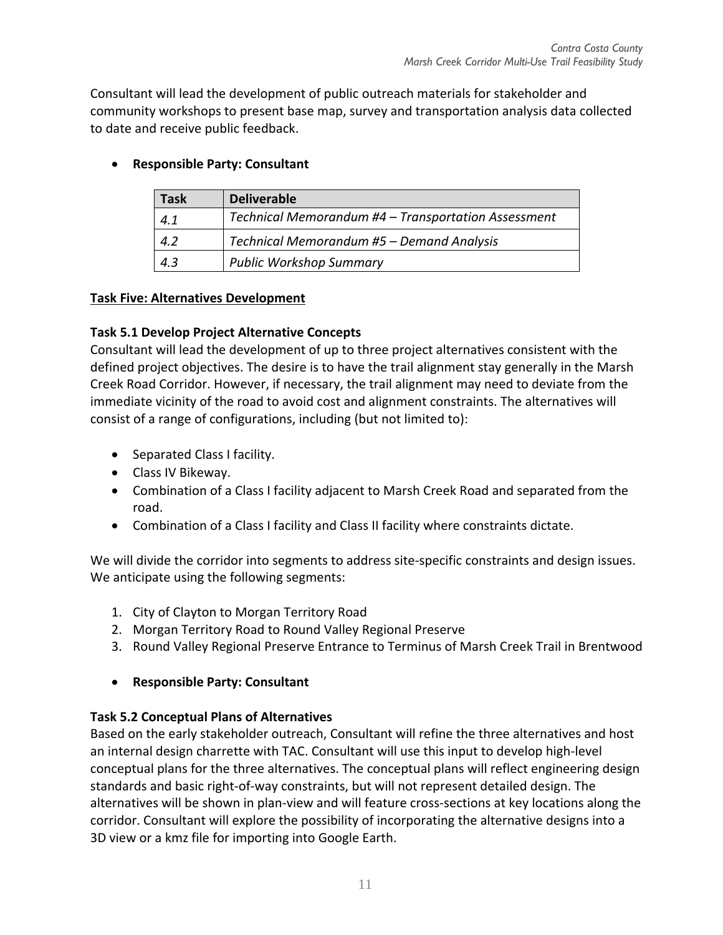Consultant will lead the development of public outreach materials for stakeholder and community workshops to present base map, survey and transportation analysis data collected to date and receive public feedback.

| Task | <b>Deliverable</b>                                  |
|------|-----------------------------------------------------|
| 4.1  | Technical Memorandum #4 - Transportation Assessment |
| 4.2  | Technical Memorandum #5 - Demand Analysis           |
| 4.3  | <b>Public Workshop Summary</b>                      |

# **Responsible Party: Consultant**

# **Task Five: Alternatives Development**

# **Task 5.1 Develop Project Alternative Concepts**

Consultant will lead the development of up to three project alternatives consistent with the defined project objectives. The desire is to have the trail alignment stay generally in the Marsh Creek Road Corridor. However, if necessary, the trail alignment may need to deviate from the immediate vicinity of the road to avoid cost and alignment constraints. The alternatives will consist of a range of configurations, including (but not limited to):

- Separated Class I facility.
- Class IV Bikeway.
- Combination of a Class I facility adjacent to Marsh Creek Road and separated from the road.
- Combination of a Class I facility and Class II facility where constraints dictate.

We will divide the corridor into segments to address site-specific constraints and design issues. We anticipate using the following segments:

- 1. City of Clayton to Morgan Territory Road
- 2. Morgan Territory Road to Round Valley Regional Preserve
- 3. Round Valley Regional Preserve Entrance to Terminus of Marsh Creek Trail in Brentwood

# **Responsible Party: Consultant**

# **Task 5.2 Conceptual Plans of Alternatives**

Based on the early stakeholder outreach, Consultant will refine the three alternatives and host an internal design charrette with TAC. Consultant will use this input to develop high‐level conceptual plans for the three alternatives. The conceptual plans will reflect engineering design standards and basic right‐of‐way constraints, but will not represent detailed design. The alternatives will be shown in plan‐view and will feature cross‐sections at key locations along the corridor. Consultant will explore the possibility of incorporating the alternative designs into a 3D view or a kmz file for importing into Google Earth.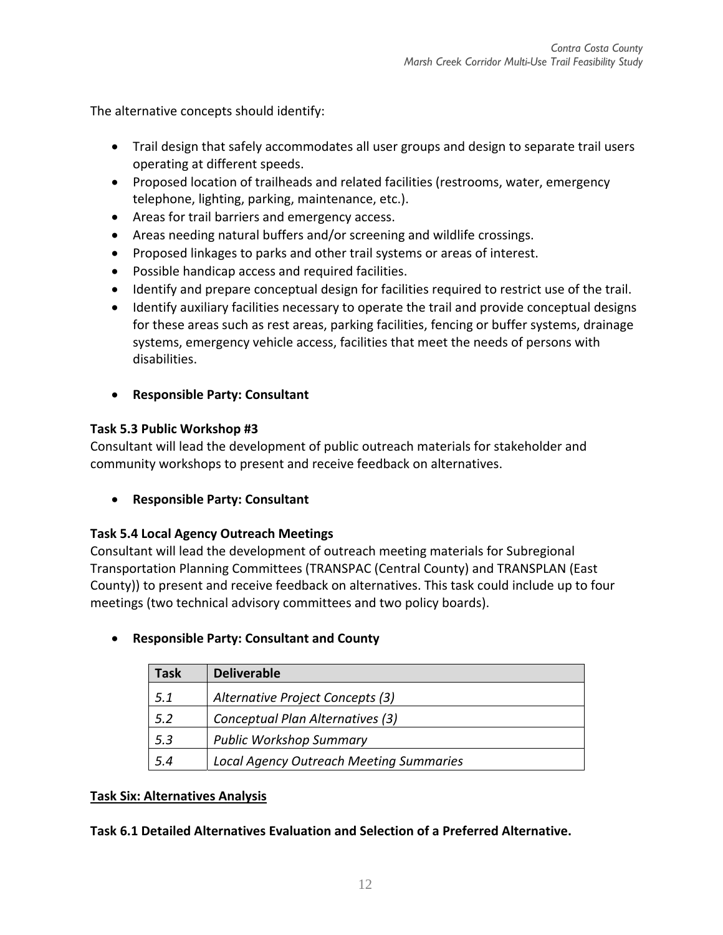The alternative concepts should identify:

- Trail design that safely accommodates all user groups and design to separate trail users operating at different speeds.
- Proposed location of trailheads and related facilities (restrooms, water, emergency telephone, lighting, parking, maintenance, etc.).
- Areas for trail barriers and emergency access.
- Areas needing natural buffers and/or screening and wildlife crossings.
- Proposed linkages to parks and other trail systems or areas of interest.
- Possible handicap access and required facilities.
- Identify and prepare conceptual design for facilities required to restrict use of the trail.
- Identify auxiliary facilities necessary to operate the trail and provide conceptual designs for these areas such as rest areas, parking facilities, fencing or buffer systems, drainage systems, emergency vehicle access, facilities that meet the needs of persons with disabilities.
- **Responsible Party: Consultant**

# **Task 5.3 Public Workshop #3**

Consultant will lead the development of public outreach materials for stakeholder and community workshops to present and receive feedback on alternatives.

**Responsible Party: Consultant** 

# **Task 5.4 Local Agency Outreach Meetings**

Consultant will lead the development of outreach meeting materials for Subregional Transportation Planning Committees (TRANSPAC (Central County) and TRANSPLAN (East County)) to present and receive feedback on alternatives. This task could include up to four meetings (two technical advisory committees and two policy boards).

# **Responsible Party: Consultant and County**

| Task | <b>Deliverable</b>                             |
|------|------------------------------------------------|
| 5.1  | Alternative Project Concepts (3)               |
| 5.2  | Conceptual Plan Alternatives (3)               |
| 5.3  | <b>Public Workshop Summary</b>                 |
| 5.4  | <b>Local Agency Outreach Meeting Summaries</b> |

# **Task Six: Alternatives Analysis**

**Task 6.1 Detailed Alternatives Evaluation and Selection of a Preferred Alternative.**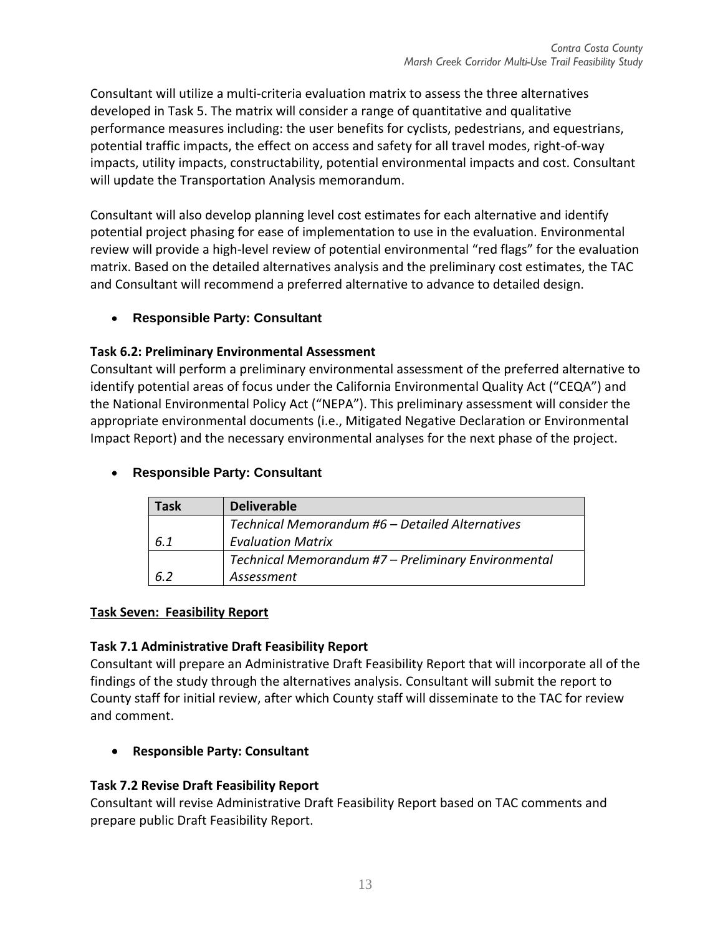Consultant will utilize a multi‐criteria evaluation matrix to assess the three alternatives developed in Task 5. The matrix will consider a range of quantitative and qualitative performance measures including: the user benefits for cyclists, pedestrians, and equestrians, potential traffic impacts, the effect on access and safety for all travel modes, right‐of‐way impacts, utility impacts, constructability, potential environmental impacts and cost. Consultant will update the Transportation Analysis memorandum.

Consultant will also develop planning level cost estimates for each alternative and identify potential project phasing for ease of implementation to use in the evaluation. Environmental review will provide a high‐level review of potential environmental "red flags" for the evaluation matrix. Based on the detailed alternatives analysis and the preliminary cost estimates, the TAC and Consultant will recommend a preferred alternative to advance to detailed design.

# **Responsible Party: Consultant**

# **Task 6.2: Preliminary Environmental Assessment**

Consultant will perform a preliminary environmental assessment of the preferred alternative to identify potential areas of focus under the California Environmental Quality Act ("CEQA") and the National Environmental Policy Act ("NEPA"). This preliminary assessment will consider the appropriate environmental documents (i.e., Mitigated Negative Declaration or Environmental Impact Report) and the necessary environmental analyses for the next phase of the project.

# **Responsible Party: Consultant**

| Task | <b>Deliverable</b>                                  |
|------|-----------------------------------------------------|
|      | Technical Memorandum #6 - Detailed Alternatives     |
| 6.1  | <b>Evaluation Matrix</b>                            |
|      | Technical Memorandum #7 - Preliminary Environmental |
| 6.2  | Assessment                                          |

### **Task Seven: Feasibility Report**

# **Task 7.1 Administrative Draft Feasibility Report**

Consultant will prepare an Administrative Draft Feasibility Report that will incorporate all of the findings of the study through the alternatives analysis. Consultant will submit the report to County staff for initial review, after which County staff will disseminate to the TAC for review and comment.

**Responsible Party: Consultant** 

# **Task 7.2 Revise Draft Feasibility Report**

Consultant will revise Administrative Draft Feasibility Report based on TAC comments and prepare public Draft Feasibility Report.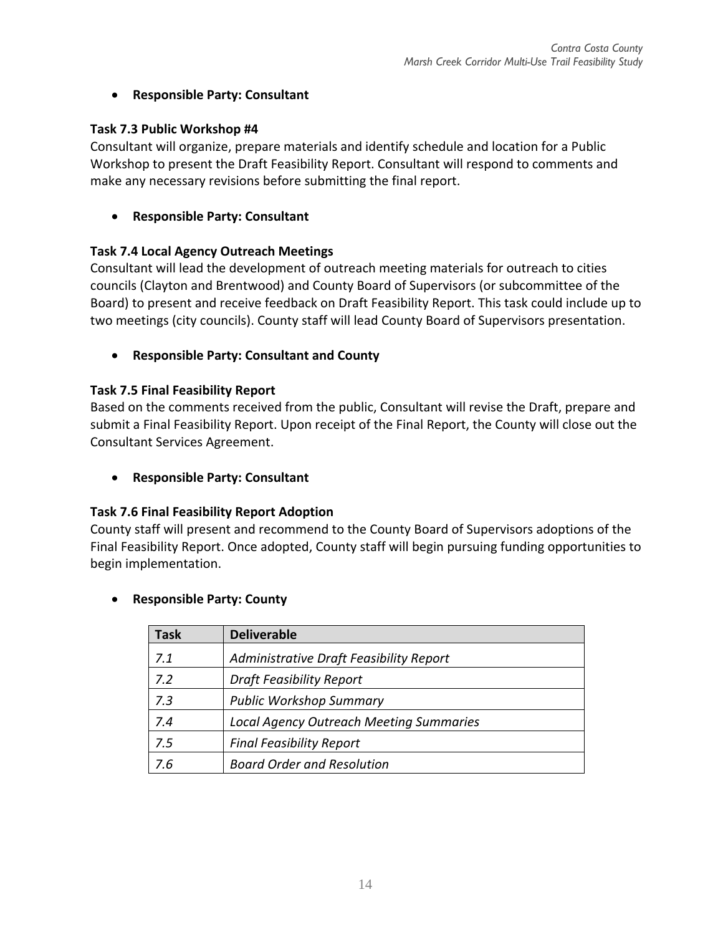# **Responsible Party: Consultant**

# **Task 7.3 Public Workshop #4**

Consultant will organize, prepare materials and identify schedule and location for a Public Workshop to present the Draft Feasibility Report. Consultant will respond to comments and make any necessary revisions before submitting the final report.

# **Responsible Party: Consultant**

# **Task 7.4 Local Agency Outreach Meetings**

Consultant will lead the development of outreach meeting materials for outreach to cities councils (Clayton and Brentwood) and County Board of Supervisors (or subcommittee of the Board) to present and receive feedback on Draft Feasibility Report. This task could include up to two meetings (city councils). County staff will lead County Board of Supervisors presentation.

**Responsible Party: Consultant and County**

# **Task 7.5 Final Feasibility Report**

Based on the comments received from the public, Consultant will revise the Draft, prepare and submit a Final Feasibility Report. Upon receipt of the Final Report, the County will close out the Consultant Services Agreement.

**Responsible Party: Consultant** 

# **Task 7.6 Final Feasibility Report Adoption**

County staff will present and recommend to the County Board of Supervisors adoptions of the Final Feasibility Report. Once adopted, County staff will begin pursuing funding opportunities to begin implementation.

# **Responsible Party: County**

| Task | <b>Deliverable</b>                             |
|------|------------------------------------------------|
| 7.1  | Administrative Draft Feasibility Report        |
| 7.2  | <b>Draft Feasibility Report</b>                |
| 7.3  | <b>Public Workshop Summary</b>                 |
| 7.4  | <b>Local Agency Outreach Meeting Summaries</b> |
| 7.5  | <b>Final Feasibility Report</b>                |
| 7.6  | <b>Board Order and Resolution</b>              |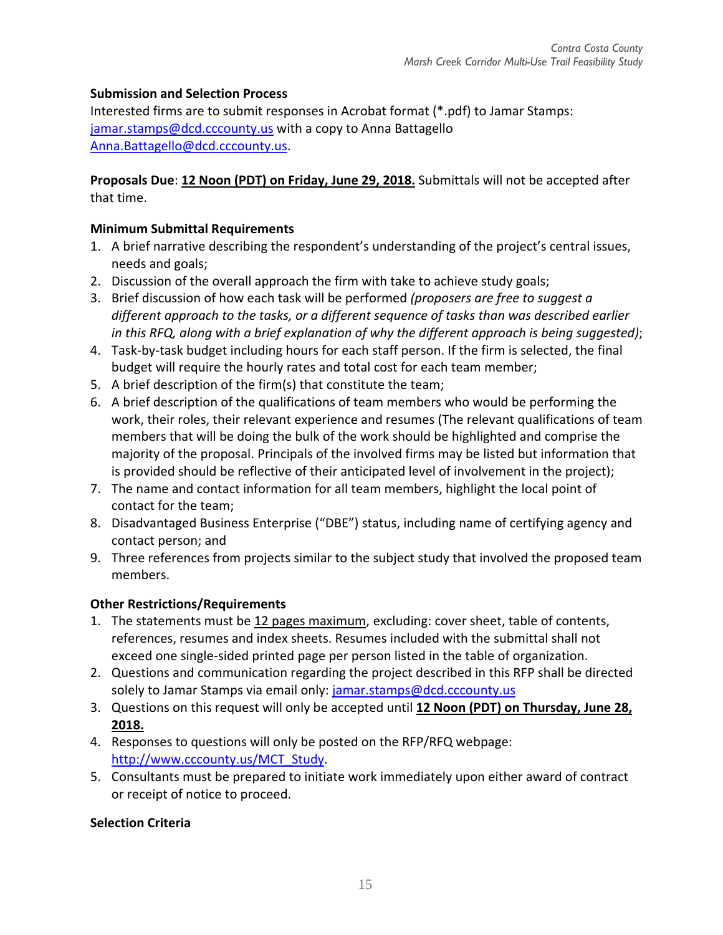# **Submission and Selection Process**

Interested firms are to submit responses in Acrobat format (\*.pdf) to Jamar Stamps: jamar.stamps@dcd.cccounty.us with a copy to Anna Battagello Anna.Battagello@dcd.cccounty.us.

### **Proposals Due**: **12 Noon (PDT) on Friday, June 29, 2018.** Submittals will not be accepted after that time.

# **Minimum Submittal Requirements**

- 1. A brief narrative describing the respondent's understanding of the project's central issues, needs and goals;
- 2. Discussion of the overall approach the firm with take to achieve study goals;
- 3. Brief discussion of how each task will be performed *(proposers are free to suggest a different approach to the tasks, or a different sequence of tasks than was described earlier in this RFQ, along with a brief explanation of why the different approach is being suggested)*;
- 4. Task‐by‐task budget including hours for each staff person. If the firm is selected, the final budget will require the hourly rates and total cost for each team member;
- 5. A brief description of the firm(s) that constitute the team;
- 6. A brief description of the qualifications of team members who would be performing the work, their roles, their relevant experience and resumes (The relevant qualifications of team members that will be doing the bulk of the work should be highlighted and comprise the majority of the proposal. Principals of the involved firms may be listed but information that is provided should be reflective of their anticipated level of involvement in the project);
- 7. The name and contact information for all team members, highlight the local point of contact for the team;
- 8. Disadvantaged Business Enterprise ("DBE") status, including name of certifying agency and contact person; and
- 9. Three references from projects similar to the subject study that involved the proposed team members.

# **Other Restrictions/Requirements**

- 1. The statements must be 12 pages maximum, excluding: cover sheet, table of contents, references, resumes and index sheets. Resumes included with the submittal shall not exceed one single‐sided printed page per person listed in the table of organization.
- 2. Questions and communication regarding the project described in this RFP shall be directed solely to Jamar Stamps via email only: jamar.stamps@dcd.cccounty.us
- 3. Questions on this request will only be accepted until **12 Noon (PDT) on Thursday, June 28, 2018.**
- 4. Responses to questions will only be posted on the RFP/RFQ webpage: http://www.cccounty.us/MCT\_Study.
- 5. Consultants must be prepared to initiate work immediately upon either award of contract or receipt of notice to proceed.

# **Selection Criteria**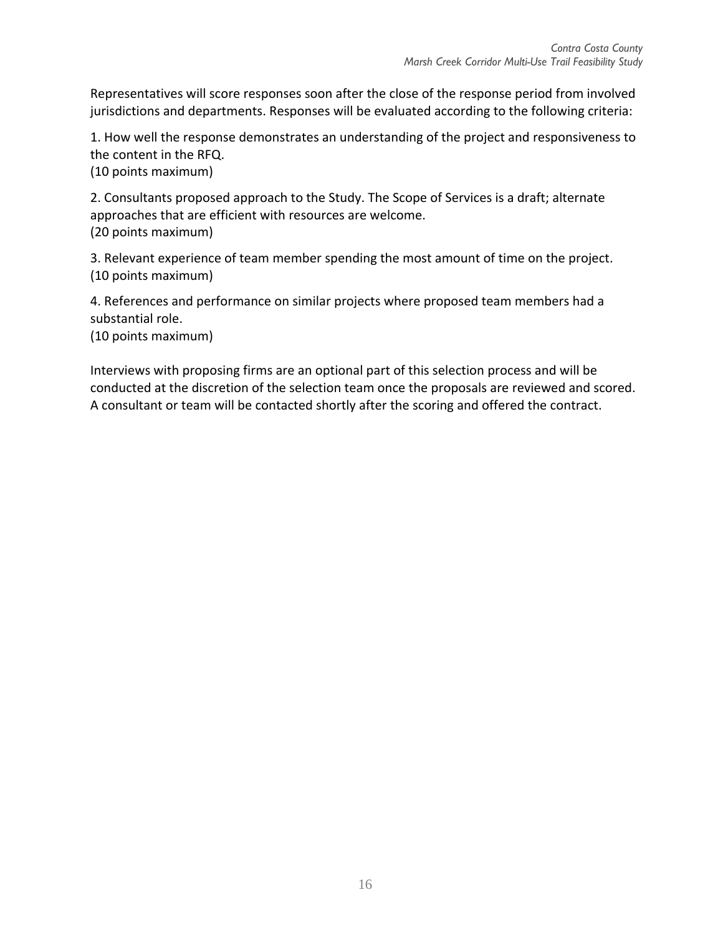Representatives will score responses soon after the close of the response period from involved jurisdictions and departments. Responses will be evaluated according to the following criteria:

1. How well the response demonstrates an understanding of the project and responsiveness to the content in the RFQ. (10 points maximum)

2. Consultants proposed approach to the Study. The Scope of Services is a draft; alternate approaches that are efficient with resources are welcome. (20 points maximum)

3. Relevant experience of team member spending the most amount of time on the project. (10 points maximum)

4. References and performance on similar projects where proposed team members had a substantial role.

(10 points maximum)

Interviews with proposing firms are an optional part of this selection process and will be conducted at the discretion of the selection team once the proposals are reviewed and scored. A consultant or team will be contacted shortly after the scoring and offered the contract.